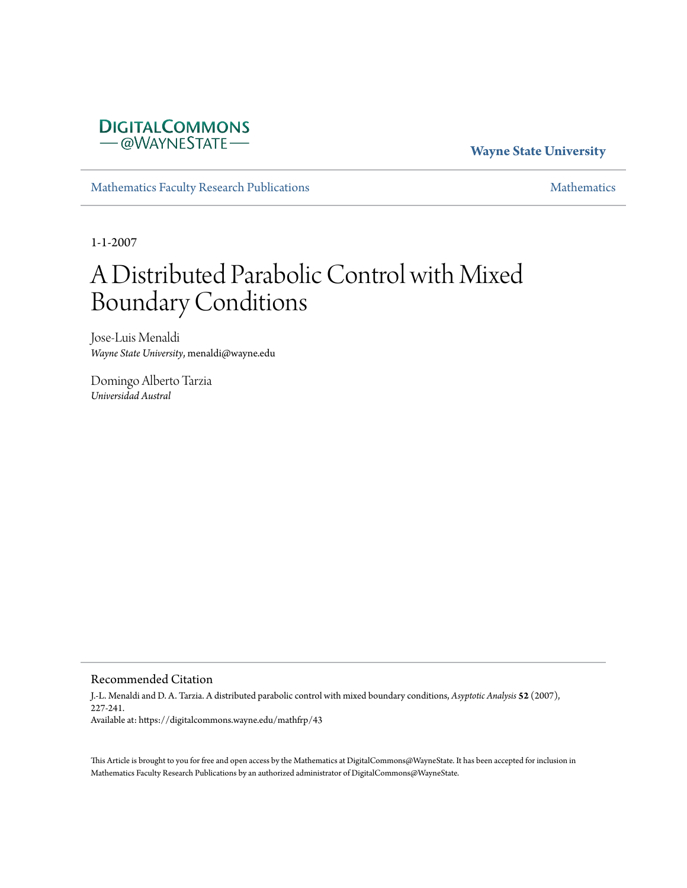# **DIGITALCOMMONS** - @WAYNESTATE-

# **Wayne State University**

[Mathematics Faculty Research Publications](https://digitalcommons.wayne.edu/mathfrp) **[Mathematics](https://digitalcommons.wayne.edu/math)** Mathematics

1-1-2007

# A Distributed Parabolic Control with Mixed Boundary Conditions

Jose-Luis Menaldi *Wayne State University*, menaldi@wayne.edu

Domingo Alberto Tarzia *Universidad Austral*

#### Recommended Citation

J.-L. Menaldi and D. A. Tarzia. A distributed parabolic control with mixed boundary conditions, *Asyptotic Analysis* **52** (2007), 227-241. Available at: https://digitalcommons.wayne.edu/mathfrp/43

This Article is brought to you for free and open access by the Mathematics at DigitalCommons@WayneState. It has been accepted for inclusion in Mathematics Faculty Research Publications by an authorized administrator of DigitalCommons@WayneState.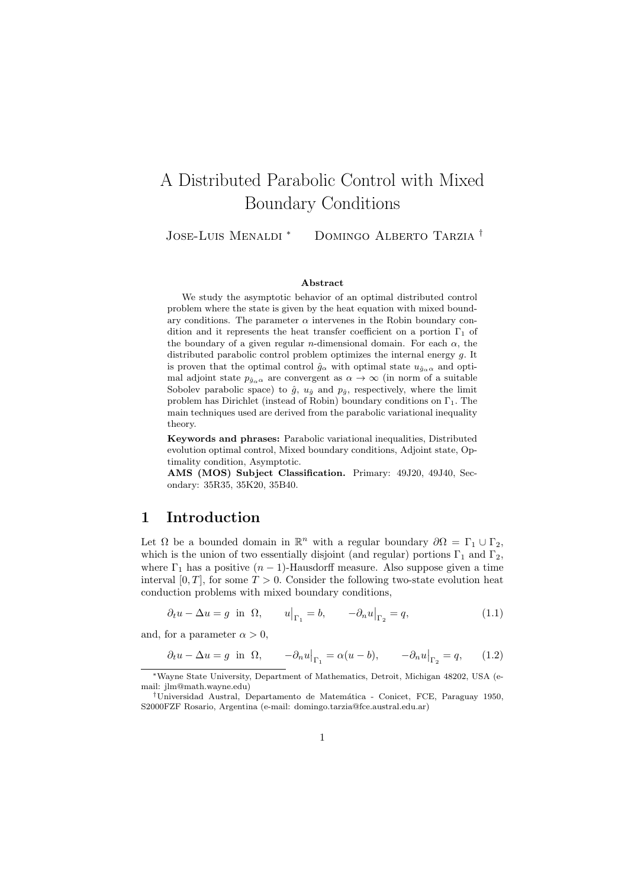# <span id="page-1-0"></span>A Distributed Parabolic Control with Mixed Boundary Conditions

Jose-Luis Menaldi *<sup>∗</sup>* Domingo Alberto Tarzia *†*

#### **Abstract**

We study the asymptotic behavior of an optimal distributed control problem where the state is given by the heat equation with mixed boundary conditions. The parameter  $\alpha$  intervenes in the Robin boundary condition and it represents the heat transfer coefficient on a portion  $\Gamma_1$  of the boundary of a given regular *n*-dimensional domain. For each  $\alpha$ , the distributed parabolic control problem optimizes the internal energy *g.* It is proven that the optimal control  $\hat{g}_{\alpha}$  with optimal state  $u_{\hat{g}_{\alpha}\alpha}$  and optimal adjoint state  $p_{\hat{q}_{\alpha}q}$  are convergent as  $\alpha \to \infty$  (in norm of a suitable Sobolev parabolic space) to  $\hat{g}$ ,  $u_{\hat{g}}$  and  $p_{\hat{g}}$ , respectively, where the limit problem has Dirichlet (instead of Robin) boundary conditions on  $\Gamma_1$ . The main techniques used are derived from the parabolic variational inequality theory.

**Keywords and phrases:** Parabolic variational inequalities, Distributed evolution optimal control, Mixed boundary conditions, Adjoint state, Optimality condition, Asymptotic.

**AMS (MOS) Subject Classification.** Primary: 49J20, 49J40, Secondary: 35R35, 35K20, 35B40.

# **1 Introduction**

Let  $\Omega$  be a bounded domain in  $\mathbb{R}^n$  with a regular boundary  $\partial \Omega = \Gamma_1 \cup \Gamma_2$ , which is the union of two essentially disjoint (and regular) portions  $\Gamma_1$  and  $\Gamma_2$ *,* where  $\Gamma_1$  has a positive  $(n-1)$ -Hausdorff measure. Also suppose given a time interval  $[0, T]$ , for some  $T > 0$ . Consider the following two-state evolution heat conduction problems with mixed boundary conditions,

$$
\partial_t u - \Delta u = g \text{ in } \Omega, \qquad u\big|_{\Gamma_1} = b, \qquad -\partial_n u\big|_{\Gamma_2} = q,\tag{1.1}
$$

and, for a parameter  $\alpha > 0$ ,

$$
\partial_t u - \Delta u = g
$$
 in  $\Omega$ ,  $-\partial_n u|_{\Gamma_1} = \alpha (u - b)$ ,  $-\partial_n u|_{\Gamma_2} = q$ , (1.2)

*<sup>∗</sup>*Wayne State University, Department of Mathematics, Detroit, Michigan 48202, USA (email: jlm@math.wayne.edu)

*<sup>†</sup>*Universidad Austral, Departamento de Matem´atica - Conicet, FCE, Paraguay 1950, S2000FZF Rosario, Argentina (e-mail: domingo.tarzia@fce.austral.edu.ar)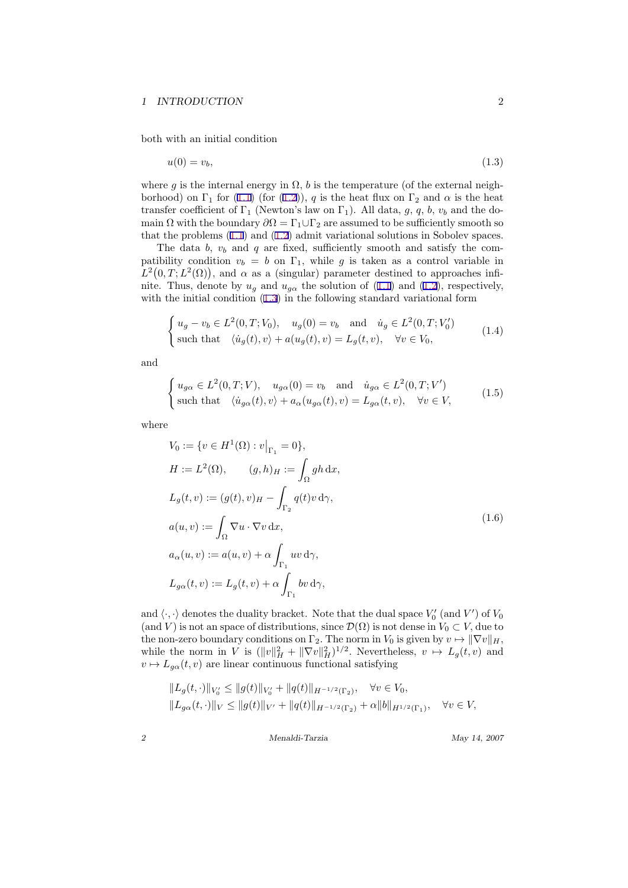<span id="page-2-0"></span>both with an initial condition

$$
u(0) = v_b,\tag{1.3}
$$

where *g* is the internal energy in  $\Omega$ , *b* is the temperature (of the external neighborhood) on  $\Gamma_1$  for [\(1.1\)](#page-1-0) (for [\(1.2](#page-1-0))), *q* is the heat flux on  $\Gamma_2$  and  $\alpha$  is the heat transfer coefficient of  $\Gamma_1$  (Newton's law on  $\Gamma_1$ ). All data, g, q, b, v<sub>b</sub> and the domain  $\Omega$  with the boundary  $\partial \Omega = \Gamma_1 \cup \Gamma_2$  are assumed to be sufficiently smooth so thatthe problems  $(1.1)$  and  $(1.2)$  $(1.2)$  $(1.2)$  admit variational solutions in Sobolev spaces.

The data  $b, v_b$  and  $q$  are fixed, sufficiently smooth and satisfy the compatibility condition  $v_b = b$  on  $\Gamma_1$ , while g is taken as a control variable in  $L^2(0,T;L^2(\Omega))$ , and  $\alpha$  as a (singular) parameter destined to approaches infi-nite.Thus, denote by  $u_g$  and  $u_{g\alpha}$  the solution of ([1.1](#page-1-0)) and [\(1.2](#page-1-0)), respectively, with the initial condition  $(1.3)$  in the following standard variational form

$$
\begin{cases} u_g - v_b \in L^2(0, T; V_0), & u_g(0) = v_b \text{ and } \dot{u}_g \in L^2(0, T; V'_0) \\ \text{such that } \langle \dot{u}_g(t), v \rangle + a(u_g(t), v) = L_g(t, v), & \forall v \in V_0, \end{cases}
$$
(1.4)

and

$$
\begin{cases} u_{g\alpha} \in L^{2}(0,T;V), \quad u_{g\alpha}(0) = v_{b} \quad \text{and} \quad \dot{u}_{g\alpha} \in L^{2}(0,T;V')\\ \text{such that} \quad \langle \dot{u}_{g\alpha}(t), v \rangle + a_{\alpha}(u_{g\alpha}(t), v) = L_{g\alpha}(t, v), \quad \forall v \in V,\end{cases}
$$
(1.5)

where

$$
V_0 := \{ v \in H^1(\Omega) : v|_{\Gamma_1} = 0 \},
$$
  
\n
$$
H := L^2(\Omega), \qquad (g, h)_H := \int_{\Omega} gh \, dx,
$$
  
\n
$$
L_g(t, v) := (g(t), v)_H - \int_{\Gamma_2} q(t)v \, d\gamma,
$$
  
\n
$$
a(u, v) := \int_{\Omega} \nabla u \cdot \nabla v \, dx,
$$
  
\n
$$
a_{\alpha}(u, v) := a(u, v) + \alpha \int_{\Gamma_1} uv \, d\gamma,
$$
  
\n
$$
L_{g\alpha}(t, v) := L_g(t, v) + \alpha \int_{\Gamma_1} bv \, d\gamma,
$$
\n
$$
(1.6)
$$

and  $\langle \cdot, \cdot \rangle$  denotes the duality bracket. Note that the dual space  $V'_0$  (and  $V'$ ) of  $V_0$ (and *V*) is not an space of distributions, since  $\mathcal{D}(\Omega)$  is not dense in  $V_0 \subset V$ , due to the non-zero boundary conditions on  $\Gamma_2$ . The norm in  $V_0$  is given by  $v \mapsto ||\nabla v||_H$ , while the norm in *V* is  $(\Vert v \Vert^2_H + \Vert \nabla v \Vert^2_H)^{1/2}$ . Nevertheless,  $v \mapsto L_g(t, v)$  and  $v \mapsto L_{q\alpha}(t, v)$  are linear continuous functional satisfying

$$
\label{||L_g(t, \cdot)||_{V_0'} ||L_g(t, \cdot)||_{V_0'} \le ||g(t)||_{V_0'} + ||q(t)||_{H^{-1/2}(\Gamma_2)}, \quad \forall v \in V_0, ||L_{g\alpha}(t, \cdot)||_V \le ||g(t)||_{V'} + ||q(t)||_{H^{-1/2}(\Gamma_2)} + \alpha ||b||_{H^{1/2}(\Gamma_1)}, \quad \forall v \in V,
$$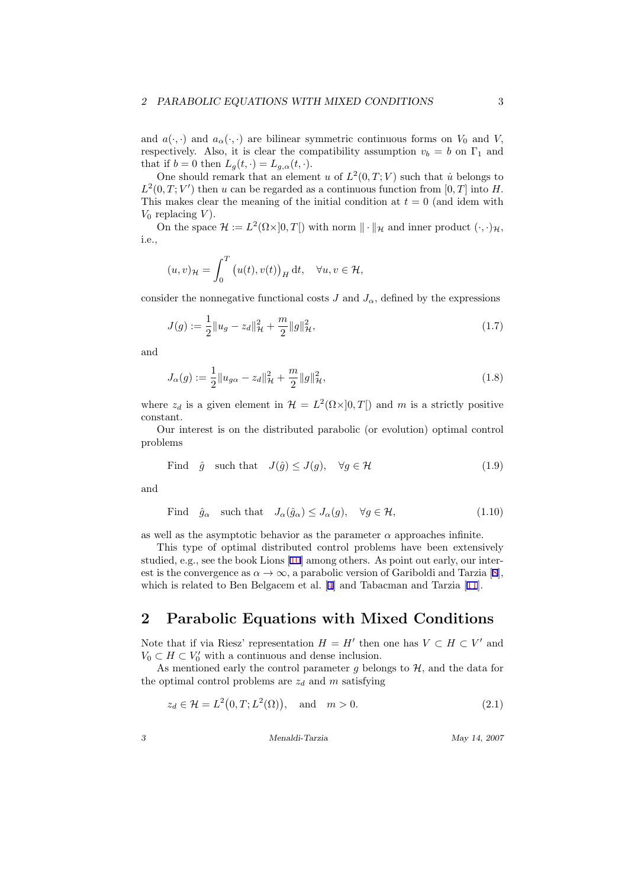<span id="page-3-0"></span>and  $a(\cdot, \cdot)$  and  $a_{\alpha}(\cdot, \cdot)$  are bilinear symmetric continuous forms on  $V_0$  and  $V$ , respectively. Also, it is clear the compatibility assumption  $v_b = b$  on  $\Gamma_1$  and that if  $b = 0$  then  $L_g(t, \cdot) = L_{g,\alpha}(t, \cdot)$ .

One should remark that an element *u* of  $L^2(0,T;V)$  such that *u*<sup>*i*</sup> belongs to  $L^2(0,T;V')$  then *u* can be regarded as a continuous function from [0, T] into *H*. This makes clear the meaning of the initial condition at  $t = 0$  (and idem with  $V_0$  replacing  $V$ ).

On the space  $\mathcal{H} := L^2(\Omega \times ]0, T[)$  with norm  $\|\cdot\|_{\mathcal{H}}$  and inner product  $(\cdot, \cdot)_{\mathcal{H}}$ , i.e.,

$$
(u,v)_{\mathcal{H}} = \int_0^T \left( u(t), v(t) \right)_H \mathrm{d}t, \quad \forall u, v \in \mathcal{H},
$$

consider the nonnegative functional costs *J* and  $J_{\alpha}$ , defined by the expressions

$$
J(g) := \frac{1}{2} \|u_g - z_d\|_{\mathcal{H}}^2 + \frac{m}{2} \|g\|_{\mathcal{H}}^2,
$$
\n(1.7)

and

$$
J_{\alpha}(g) := \frac{1}{2} \|u_{g\alpha} - z_d\|_{\mathcal{H}}^2 + \frac{m}{2} \|g\|_{\mathcal{H}}^2,
$$
\n(1.8)

where  $z_d$  is a given element in  $\mathcal{H} = L^2(\Omega \times ]0, T[)$  and m is a strictly positive constant.

Our interest is on the distributed parabolic (or evolution) optimal control problems

Find 
$$
\hat{g}
$$
 such that  $J(\hat{g}) \leq J(g)$ ,  $\forall g \in \mathcal{H}$  (1.9)

and

Find 
$$
\hat{g}_{\alpha}
$$
 such that  $J_{\alpha}(\hat{g}_{\alpha}) \leq J_{\alpha}(g), \quad \forall g \in \mathcal{H},$  (1.10)

as well as the asymptotic behavior as the parameter  $\alpha$  approaches infinite.

This type of optimal distributed control problems have been extensively studied, e.g., see the book Lions [\[10](#page-16-0)] among others. As point out early, our interestis the convergence as  $\alpha \to \infty$ , a parabolic version of Gariboldi and Tarzia [[8\]](#page-16-0), whichis related to Ben Belgacem et al. [[4\]](#page-15-0) and Tabacman and Tarzia [[11\]](#page-16-0).

# **2 Parabolic Equations with Mixed Conditions**

Note that if via Riesz' representation  $H = H'$  then one has  $V \subset H \subset V'$  and  $V_0 \subset H \subset V'_0$  with a continuous and dense inclusion.

As mentioned early the control parameter  $g$  belongs to  $H$ , and the data for the optimal control problems are  $z_d$  and  $m$  satisfying

$$
z_d \in \mathcal{H} = L^2(0, T; L^2(\Omega)), \quad \text{and} \quad m > 0. \tag{2.1}
$$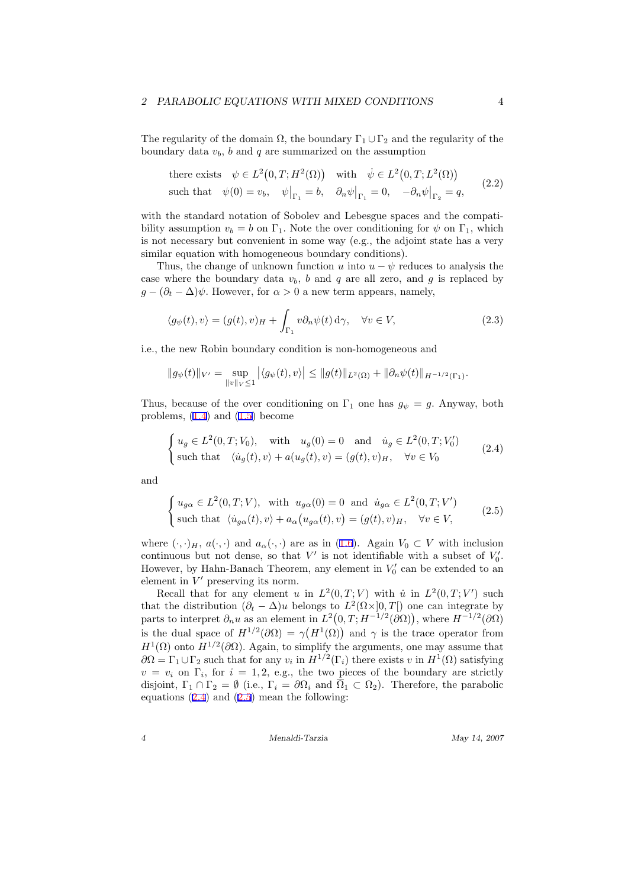#### <span id="page-4-0"></span>*2 PARABOLIC EQUATIONS WITH MIXED CONDITIONS* 4

The regularity of the domain  $\Omega$ , the boundary  $\Gamma_1 \cup \Gamma_2$  and the regularity of the boundary data  $v<sub>b</sub>$ *, b* and *q* are summarized on the assumption

there exists 
$$
\psi \in L^2(0, T; H^2(\Omega))
$$
 with  $\dot{\psi} \in L^2(0, T; L^2(\Omega))$   
such that  $\psi(0) = v_b$ ,  $\psi\big|_{\Gamma_1} = b$ ,  $\partial_n \psi\big|_{\Gamma_1} = 0$ ,  $-\partial_n \psi\big|_{\Gamma_2} = q$ , (2.2)

with the standard notation of Sobolev and Lebesgue spaces and the compatibility assumption  $v_b = b$  on  $\Gamma_1$ . Note the over conditioning for  $\psi$  on  $\Gamma_1$ , which is not necessary but convenient in some way (e.g., the adjoint state has a very similar equation with homogeneous boundary conditions).

Thus, the change of unknown function *u* into  $u - \psi$  reduces to analysis the case where the boundary data  $v<sub>b</sub>$ ,  $b$  and  $q$  are all zero, and  $g$  is replaced by  $g - (\partial_t - \Delta)\psi$ . However, for  $\alpha > 0$  a new term appears, namely,

$$
\langle g_{\psi}(t), v \rangle = (g(t), v)_{H} + \int_{\Gamma_1} v \partial_n \psi(t) d\gamma, \quad \forall v \in V,
$$
\n(2.3)

i.e., the new Robin boundary condition is non-homogeneous and

$$
\|g_{\psi}(t)\|_{V'} = \sup_{\|v\|_{V} \le 1} |\langle g_{\psi}(t), v \rangle| \le \|g(t)\|_{L^{2}(\Omega)} + \|\partial_{n}\psi(t)\|_{H^{-1/2}(\Gamma_{1})}.
$$

Thus, because of the over conditioning on  $\Gamma_1$  one has  $g_{\psi} = g$ . Anyway, both problems,  $(1.4)$  and  $(1.5)$  become

$$
\begin{cases} u_g \in L^2(0,T;V_0), \quad \text{with} \quad u_g(0) = 0 \quad \text{and} \quad \dot{u}_g \in L^2(0,T;V'_0) \\ \text{such that} \quad \langle \dot{u}_g(t), v \rangle + a(u_g(t), v) = (g(t), v)_H, \quad \forall v \in V_0 \end{cases}
$$
 (2.4)

and

$$
\begin{cases} u_{g\alpha} \in L^{2}(0,T;V), \text{ with } u_{g\alpha}(0) = 0 \text{ and } \dot{u}_{g\alpha} \in L^{2}(0,T;V')\\ \text{such that } \langle \dot{u}_{g\alpha}(t), v \rangle + a_{\alpha}(u_{g\alpha}(t), v) = (g(t), v)_{H}, \quad \forall v \in V, \end{cases}
$$
(2.5)

where $(\cdot, \cdot)_H$ ,  $a(\cdot, \cdot)$  and  $a_\alpha(\cdot, \cdot)$  are as in ([1.6\)](#page-2-0). Again  $V_0 \subset V$  with inclusion continuous but not dense, so that  $V'$  is not identifiable with a subset of  $V'_{0}$ . However, by Hahn-Banach Theorem, any element in  $V'_0$  can be extended to an element in *V ′* preserving its norm.

Recall that for any element *u* in  $L^2(0,T;V)$  with *u* in  $L^2(0,T;V')$  such that the distribution  $(\partial_t - \Delta)u$  belongs to  $L^2(\Omega \times ]0, T[)$  one can integrate by parts to interpret  $\partial_n u$  as an element in  $L^2(0,T;H^{-1/2}(\partial\Omega))$ , where  $H^{-1/2}(\partial\Omega)$ is the dual space of  $H^{1/2}(\partial\Omega) = \gamma(H^1(\Omega))$  and  $\gamma$  is the trace operator from  $H^1(\Omega)$  onto  $H^{1/2}(\partial\Omega)$ . Again, to simplify the arguments, one may assume that  $\partial\Omega = \Gamma_1 \cup \Gamma_2$  such that for any  $v_i$  in  $H^{1/2}(\Gamma_i)$  there exists *v* in  $H^1(\Omega)$  satisfying  $v = v_i$  on  $\Gamma_i$ , for  $i = 1, 2, e.g.,$  the two pieces of the boundary are strictly disjoint,  $\Gamma_1 \cap \Gamma_2 = \emptyset$  (i.e.,  $\Gamma_i = \partial \Omega_i$  and  $\overline{\Omega}_1 \subset \Omega_2$ ). Therefore, the parabolic equations  $(2.4)$  and  $(2.5)$  mean the following: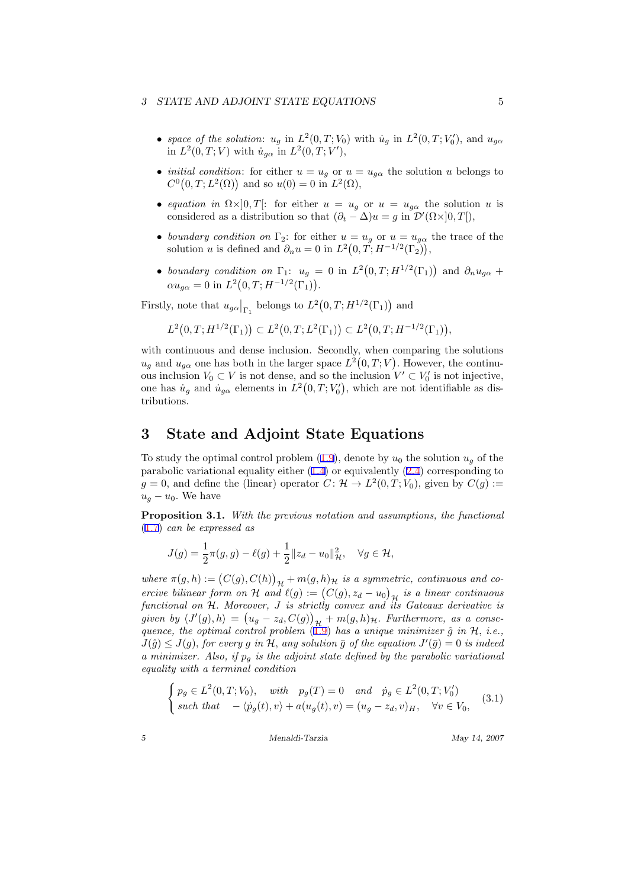- <span id="page-5-0"></span>• *space of the solution*:  $u_g$  in  $L^2(0,T; V_0)$  with  $\dot{u}_g$  in  $L^2(0,T; V'_0)$ , and  $u_{g\alpha}$ in  $L^2(0,T; V)$  with  $\dot{u}_{g\alpha}$  in  $L^2(0,T; V')$ ,
- *initial condition*: for either  $u = u_q$  or  $u = u_{q\alpha}$  the solution *u* belongs to  $C^0(0,T; L^2(\Omega))$  and so  $u(0) = 0$  in  $L^2(\Omega)$ ,
- *equation in*  $\Omega \times ]0,T[$ : for either  $u = u_g$  or  $u = u_{g\alpha}$  the solution *u* is considered as a distribution so that  $(\partial_t - \Delta)u = g$  in  $\mathcal{D}'(\Omega \times ]0, T[$ *)*,
- *boundary condition on*  $\Gamma_2$ : for either  $u = u_g$  or  $u = u_{g\alpha}$  the trace of the solution *u* is defined and  $\partial_n u = 0$  in  $L^2(0, T; H^{-1/2}(\Gamma_2)),$
- *boundary condition on*  $\Gamma_1$ :  $u_g = 0$  in  $L^2(0,T;H^{1/2}(\Gamma_1))$  and  $\partial_n u_{g\alpha}$  +  $\alpha u_{g\alpha} = 0$  in  $L^2(0,T;H^{-1/2}(\Gamma_1)).$

Firstly, note that  $u_{g\alpha}|_{\Gamma_1}$  belongs to  $L^2(0,T;H^{1/2}(\Gamma_1))$  and

$$
L^{2}(0,T;H^{1/2}(\Gamma_{1})) \subset L^{2}(0,T;L^{2}(\Gamma_{1})) \subset L^{2}(0,T;H^{-1/2}(\Gamma_{1})),
$$

with continuous and dense inclusion. Secondly, when comparing the solutions  $u_g$  and  $u_{g\alpha}$  one has both in the larger space  $L^2(0,T;V)$ . However, the continuous inclusion  $V_0 \subset V$  is not dense, and so the inclusion  $V' \subset V'_0$  is not injective, one has  $\dot{u}_g$  and  $\dot{u}_{g\alpha}$  elements in  $L^2(0,T;V'_0)$ , which are not identifiable as distributions.

#### **3 State and Adjoint State Equations**

Tostudy the optimal control problem  $(1.9)$  $(1.9)$ , denote by  $u_0$  the solution  $u_q$  of the parabolic variational equality either  $(1.4)$  or equivalently  $(2.4)$  corresponding to  $g = 0$ , and define the (linear) operator  $C: \mathcal{H} \to L^2(0,T;V_0)$ , given by  $C(g) :=$  $u_g - u_0$ . We have

**Proposition 3.1.** *With the previous notation and assumptions, the functional* ([1.7](#page-3-0)) *can be expressed as*

$$
J(g) = \frac{1}{2}\pi(g, g) - \ell(g) + \frac{1}{2}||z_d - u_0||^2_{\mathcal{H}}, \quad \forall g \in \mathcal{H},
$$

*where*  $\pi(g, h) := (C(g), C(h))_{\mathcal{H}} + m(g, h)_{\mathcal{H}}$  *is a symmetric, continuous and coercive bilinear form on*  $\mathcal H$  *and*  $\ell(g) := (C(g), z_d - u_0)_{\mathcal H}$  *is a linear continuous H functional on H. Moreover, J is strictly convex and its Gateaux derivative is given by*  $\langle J'(g), h \rangle = (u_g - z_d, C(g))_{\mathcal{H}} + m(g, h)_{\mathcal{H}}$ . Furthermore, as a conse-<br>
given by  $\langle J'(g), h \rangle = (u_g - z_d, C(g))_{\mathcal{H}} + m(g, h)_{\mathcal{H}}$ . Furthermore, as a conse*quence, the optimal control problem* [\(1.9](#page-3-0)) *has a unique minimizer g*ˆ *in H, i.e.,*  $J(\hat{g}) \leq J(g)$ , for every g in H, any solution  $\bar{g}$  of the equation  $J'(\bar{g}) = 0$  is indeed *a minimizer. Also, if p<sup>g</sup> is the adjoint state defined by the parabolic variational equality with a terminal condition*

$$
\begin{cases} p_g \in L^2(0, T; V_0), & with \quad p_g(T) = 0 \quad and \quad \dot{p}_g \in L^2(0, T; V'_0) \\ such \; that \quad -\langle \dot{p}_g(t), v \rangle + a(u_g(t), v) = (u_g - z_d, v)_H, \quad \forall v \in V_0, \end{cases} \tag{3.1}
$$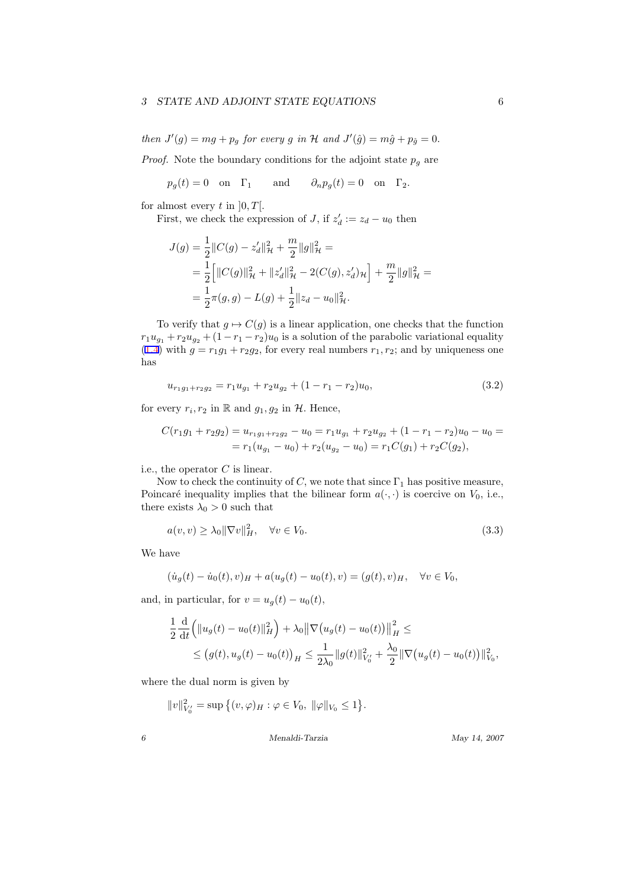<span id="page-6-0"></span>*then*  $J'(g) = mg + p_g$  *for every g in*  $H$  *and*  $J'(\hat{g}) = m\hat{g} + p_{\hat{g}} = 0$ *.* 

*Proof.* Note the boundary conditions for the adjoint state  $p<sub>g</sub>$  are

$$
p_g(t) = 0
$$
 on  $\Gamma_1$  and  $\partial_n p_g(t) = 0$  on  $\Gamma_2$ .

for almost every  $t$  in  $[0, T]$ .

First, we check the expression of *J*, if  $z'_d := z_d - u_0$  then

$$
J(g) = \frac{1}{2} ||C(g) - z_d'||_H^2 + \frac{m}{2} ||g||_H^2 =
$$
  
= 
$$
\frac{1}{2} \Big[ ||C(g)||_H^2 + ||z_d'||_H^2 - 2(C(g), z_d')\mu \Big] + \frac{m}{2} ||g||_H^2 =
$$
  
= 
$$
\frac{1}{2} \pi(g, g) - L(g) + \frac{1}{2} ||z_d - u_0||_H^2.
$$

To verify that  $g \mapsto C(g)$  is a linear application, one checks that the function  $r_1u_{g_1} + r_2u_{g_2} + (1 - r_1 - r_2)u_0$  is a solution of the parabolic variational equality ([1.4](#page-2-0)) with  $g = r_1g_1 + r_2g_2$ , for every real numbers  $r_1, r_2$ ; and by uniqueness one has

$$
u_{r_1g_1+r_2g_2} = r_1u_{g_1} + r_2u_{g_2} + (1 - r_1 - r_2)u_0,
$$
\n(3.2)

for every  $r_i, r_2$  in R and  $g_1, g_2$  in  $H$ *.* Hence,

$$
C(r_1g_1 + r_2g_2) = u_{r_1g_1 + r_2g_2} - u_0 = r_1u_{g_1} + r_2u_{g_2} + (1 - r_1 - r_2)u_0 - u_0 =
$$
  
=  $r_1(u_{g_1} - u_0) + r_2(u_{g_2} - u_0) = r_1C(g_1) + r_2C(g_2),$ 

i.e., the operator *C* is linear.

Now to check the continuity of *C*, we note that since  $\Gamma_1$  has positive measure, Poincaré inequality implies that the bilinear form  $a(\cdot, \cdot)$  is coercive on  $V_0$ , i.e., there exists  $\lambda_0 > 0$  such that

$$
a(v, v) \ge \lambda_0 \|\nabla v\|_H^2, \quad \forall v \in V_0.
$$
\n
$$
(3.3)
$$

We have

$$
(\dot{u}_g(t) - \dot{u}_0(t), v)_H + a(u_g(t) - u_0(t), v) = (g(t), v)_H, \quad \forall v \in V_0,
$$

and, in particular, for  $v = u<sub>q</sub>(t) - u<sub>0</sub>(t)$ ,

$$
\frac{1}{2} \frac{d}{dt} (||u_g(t) - u_0(t)||_H^2) + \lambda_0 ||\nabla (u_g(t) - u_0(t))||_H^2 \le
$$
  
\n
$$
\le (g(t), u_g(t) - u_0(t))_H \le \frac{1}{2\lambda_0} ||g(t)||_{V_0'}^2 + \frac{\lambda_0}{2} ||\nabla (u_g(t) - u_0(t))||_{V_0}^2,
$$

where the dual norm is given by

 $||v||_{V_0'}^2 = \sup \{(v, \varphi)_H : \varphi \in V_0, ||\varphi||_{V_0} \leq 1\}.$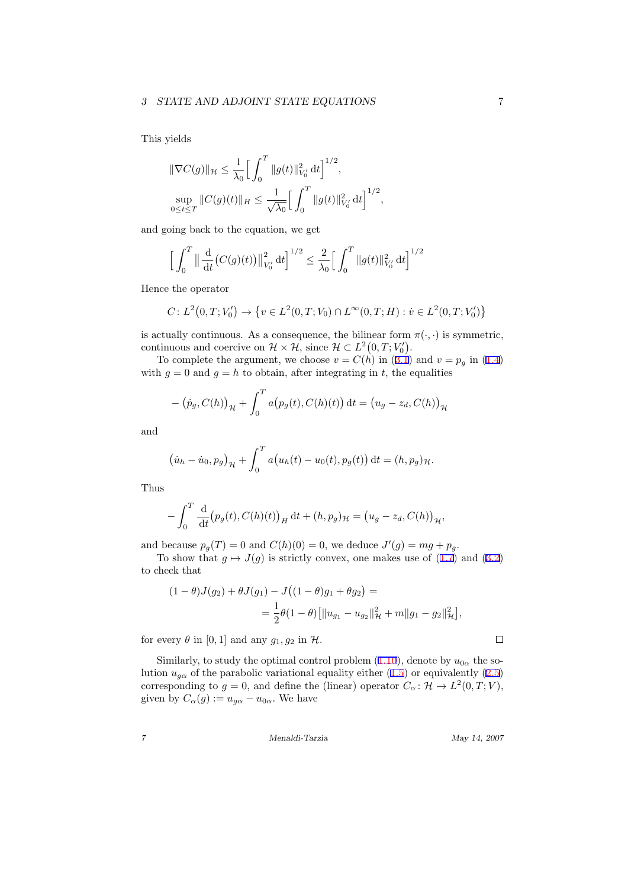<span id="page-7-0"></span>This yields

$$
\|\nabla C(g)\|_{\mathcal{H}} \leq \frac{1}{\lambda_0} \Big[ \int_0^T \|g(t)\|_{V'_0}^2 dt \Big]^{1/2},
$$
  

$$
\sup_{0 \leq t \leq T} \|C(g)(t)\|_{H} \leq \frac{1}{\sqrt{\lambda_0}} \Big[ \int_0^T \|g(t)\|_{V'_0}^2 dt \Big]^{1/2},
$$

and going back to the equation, we get

$$
\Big[\int_0^T \left\|\frac{\mathrm{d}}{\mathrm{d}t}\big(C(g)(t)\big)\right\|_{V'_0}^2 \mathrm{d}t\Big]^{1/2} \le \frac{2}{\lambda_0} \Big[\int_0^T \|g(t)\|_{V'_0}^2 \mathrm{d}t\Big]^{1/2}
$$

Hence the operator

$$
C: L^2(0,T;V'_0) \to \{v \in L^2(0,T;V_0) \cap L^{\infty}(0,T;H) : v \in L^2(0,T;V'_0)\}
$$

is actually continuous. As a consequence, the bilinear form  $\pi(\cdot, \cdot)$  is symmetric, continuous and coercive on  $\mathcal{H} \times \mathcal{H}$ , since  $\mathcal{H} \subset L^2(0,T;V'_0)$ .

Tocomplete the argument, we choose  $v = C(h)$  in ([3.1](#page-5-0)) and  $v = p_g$  in ([1.4\)](#page-2-0) with  $g = 0$  and  $g = h$  to obtain, after integrating in *t*, the equalities

$$
- (\dot{p}_g, C(h))_{\mathcal{H}} + \int_0^T a(p_g(t), C(h)(t)) dt = (u_g - z_d, C(h))_{\mathcal{H}}
$$

and

$$
(\dot{u}_h - \dot{u}_0, p_g)_{\mathcal{H}} + \int_0^T a(u_h(t) - u_0(t), p_g(t)) dt = (h, p_g)_{\mathcal{H}}.
$$

Thus

*−*

$$
\int_0^T \frac{\mathrm{d}}{\mathrm{d}t} (p_g(t), C(h)(t))_H \, \mathrm{d}t + (h, p_g)_{\mathcal{H}} = (u_g - z_d, C(h))_{\mathcal{H}},
$$

and because  $p_g(T) = 0$  and  $C(h)(0) = 0$ , we deduce  $J'(g) = mg + p_g$ .

Toshow that  $g \mapsto J(g)$  is strictly convex, one makes use of  $(1.7)$  and  $(3.2)$  $(3.2)$ to check that

$$
(1 - \theta)J(g_2) + \theta J(g_1) - J((1 - \theta)g_1 + \theta g_2) =
$$
  
= 
$$
\frac{1}{2}\theta(1 - \theta)\left[\|u_{g_1} - u_{g_2}\|_{\mathcal{H}}^2 + m\|g_1 - g_2\|_{\mathcal{H}}^2\right],
$$

for every  $\theta$  in [0, 1] and any  $g_1, g_2$  in  $\mathcal{H}$ .

Similarly,to study the optimal control problem  $(1.10)$  $(1.10)$  $(1.10)$ , denote by  $u_{0\alpha}$  the solution $u_{g\alpha}$  of the parabolic variational equality either [\(1.5](#page-2-0)) or equivalently ([2.5\)](#page-4-0) corresponding to  $g = 0$ , and define the (linear) operator  $C_{\alpha} : \mathcal{H} \to L^2(0, T; V)$ , given by  $C_{\alpha}(g) := u_{g\alpha} - u_{0\alpha}$ . We have

*7 Menaldi-Tarzia May 14, 2007*

 $\Box$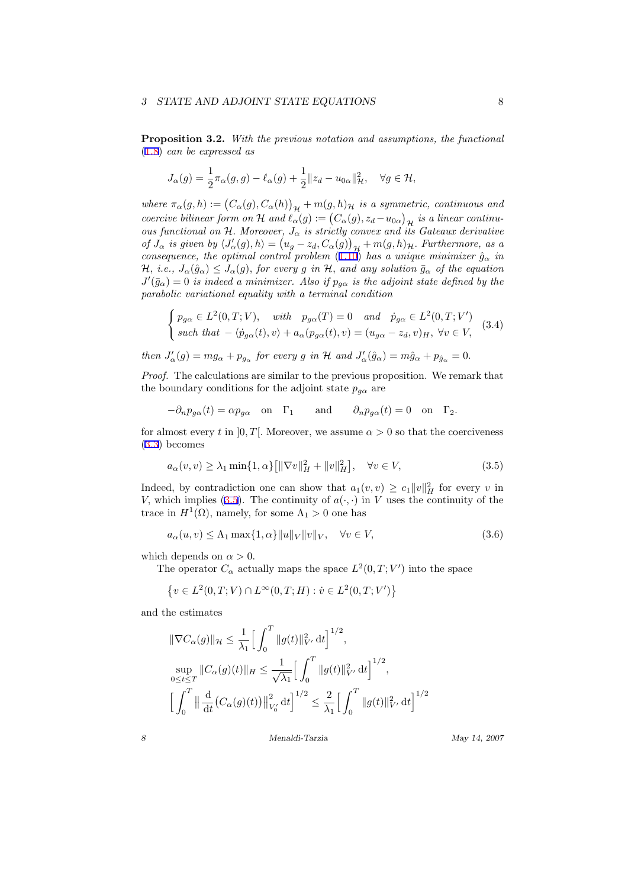<span id="page-8-0"></span>**Proposition 3.2.** *With the previous notation and assumptions, the functional* ([1.8](#page-3-0)) *can be expressed as*

$$
J_{\alpha}(g) = \frac{1}{2}\pi_{\alpha}(g,g) - \ell_{\alpha}(g) + \frac{1}{2}||z_d - u_{0\alpha}||^2_{\mathcal{H}}, \quad \forall g \in \mathcal{H},
$$

*where*  $\pi_{\alpha}(g, h) := (C_{\alpha}(g), C_{\alpha}(h))_{\mathcal{H}} + m(g, h)_{\mathcal{H}}$  *is a symmetric, continuous and coercive bilinear form on*  $\mathcal H$  *and*  $\ell_{\alpha}(g) := (C_{\alpha}(g), z_d - u_{0\alpha})_{\mathcal H}$  *is a linear continuous functional on*  $H$ *. Moreover,*  $J_{\alpha}$  *is strictly convex and its Gateaux derivative* of  $J_{\alpha}$  is given by  $\langle J'_{\alpha}(g), h \rangle = (u_g - z_d, C_{\alpha}(g))_{\mathcal{H}} + m(g, h)_{\mathcal{H}}$ . Furthermore, as a *consequence, the optimal control problem*  $(1.10)$  $(1.10)$  *has a unique minimizer*  $\hat{g}_{\alpha}$  *in* H, i.e.,  $J_{\alpha}(\hat{g}_{\alpha}) \leq J_{\alpha}(g)$ , for every g in H, and any solution  $\bar{g}_{\alpha}$  of the equation  $J'(\bar{g}_{\alpha}) = 0$  *is indeed a minimizer. Also if*  $p_{g\alpha}$  *is the adjoint state defined by the parabolic variational equality with a terminal condition*

$$
\begin{cases}\np_{g\alpha} \in L^2(0, T; V), \quad with \quad p_{g\alpha}(T) = 0 \quad and \quad \dot{p}_{g\alpha} \in L^2(0, T; V') \\
such that \quad -\langle \dot{p}_{g\alpha}(t), v \rangle + a_{\alpha}(p_{g\alpha}(t), v) = (u_{g\alpha} - z_d, v)_H, \ \forall v \in V,\n\end{cases} \tag{3.4}
$$

then  $J'_{\alpha}(g) = mg_{\alpha} + p_{g_{\alpha}}$  for every g in H and  $J'_{\alpha}(\hat{g}_{\alpha}) = m\hat{g}_{\alpha} + p_{\hat{g}_{\alpha}} = 0$ .

*Proof.* The calculations are similar to the previous proposition. We remark that the boundary conditions for the adjoint state  $p_{q\alpha}$  are

$$
-\partial_n p_{g\alpha}(t) = \alpha p_{g\alpha} \quad \text{on} \quad \Gamma_1 \qquad \text{and} \qquad \partial_n p_{g\alpha}(t) = 0 \quad \text{on} \quad \Gamma_2.
$$

for almost every *t* in  $[0, T]$ . Moreover, we assume  $\alpha > 0$  so that the coerciveness ([3.3](#page-6-0)) becomes

$$
a_{\alpha}(v,v) \ge \lambda_1 \min\{1,\alpha\} \left[ \|\nabla v\|_{H}^{2} + \|v\|_{H}^{2} \right], \quad \forall v \in V,
$$
\n(3.5)

Indeed, by contradiction one can show that  $a_1(v, v) \ge c_1 ||v||_H^2$  for every *v* in *V*, which implies (3.5). The continuity of  $a(\cdot, \cdot)$  in *V* uses the continuity of the trace in  $H^1(\Omega)$ , namely, for some  $\Lambda_1 > 0$  one has

$$
a_{\alpha}(u,v) \le \Lambda_1 \max\{1,\alpha\} \|u\|_{V} \|v\|_{V}, \quad \forall v \in V,
$$
\n(3.6)

which depends on  $\alpha > 0$ .

The operator  $C_{\alpha}$  actually maps the space  $L^2(0,T;V')$  into the space

$$
\{v \in L^2(0,T;V) \cap L^{\infty}(0,T;H) : \dot{v} \in L^2(0,T;V')\}
$$

and the estimates

$$
\begin{aligned}\n\|\nabla C_{\alpha}(g)\|_{\mathcal{H}} &\leq \frac{1}{\lambda_{1}} \Big[ \int_{0}^{T} \|g(t)\|_{V'}^{2} \, \mathrm{d}t \Big]^{1/2}, \\
\sup_{0 \leq t \leq T} \|C_{\alpha}(g)(t)\|_{H} &\leq \frac{1}{\sqrt{\lambda_{1}}} \Big[ \int_{0}^{T} \|g(t)\|_{V'}^{2} \, \mathrm{d}t \Big]^{1/2}, \\
\Big[ \int_{0}^{T} \|\frac{\mathrm{d}}{\mathrm{d}t} \big(C_{\alpha}(g)(t)\big) \big\|_{V'_{0}}^{2} \, \mathrm{d}t \Big]^{1/2} &\leq \frac{2}{\lambda_{1}} \Big[ \int_{0}^{T} \|g(t)\|_{V'}^{2} \, \mathrm{d}t \Big]^{1/2}\n\end{aligned}
$$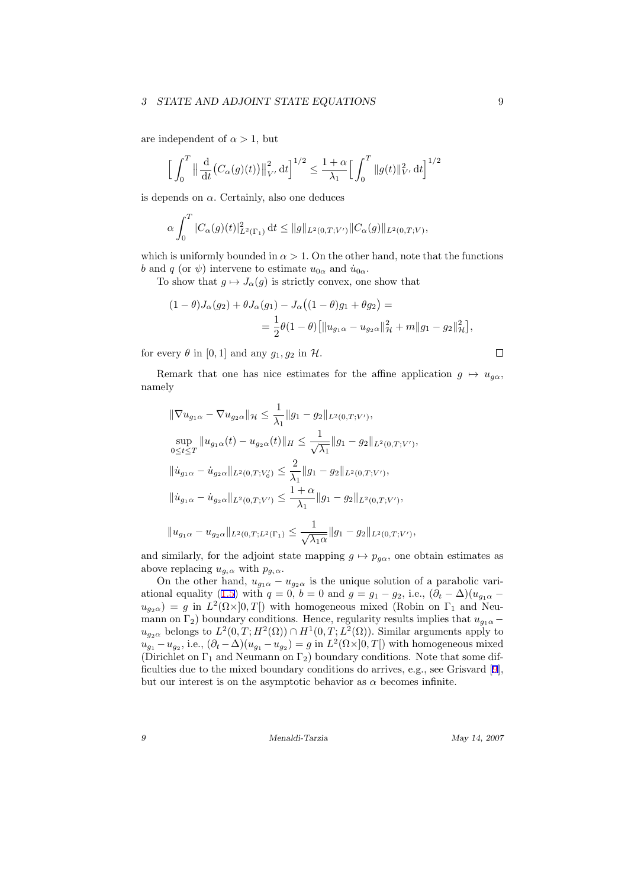#### *3* STATE AND ADJOINT STATE EQUATIONS 9

are independent of  $\alpha > 1$ , but

$$
\Big[\int_0^T \|\frac{\mathrm{d}}{\mathrm{d}t} (C_\alpha(g)(t))\|_{V'}^2 \,\mathrm{d}t\Big]^{1/2} \le \frac{1+\alpha}{\lambda_1} \Big[\int_0^T \|g(t)\|_{V'}^2 \,\mathrm{d}t\Big]^{1/2}
$$

is depends on  $\alpha$ . Certainly, also one deduces

$$
\alpha \int_0^T |C_\alpha(g)(t)|^2_{L^2(\Gamma_1)} dt \le ||g||_{L^2(0,T;V')} ||C_\alpha(g)||_{L^2(0,T;V)},
$$

which is uniformly bounded in  $\alpha > 1$ . On the other hand, note that the functions *b* and *q* (or  $\psi$ ) intervene to estimate  $u_{0\alpha}$  and  $\dot{u}_{0\alpha}$ .

To show that  $g \mapsto J_{\alpha}(g)$  is strictly convex, one show that

$$
(1 - \theta)J_{\alpha}(g_2) + \theta J_{\alpha}(g_1) - J_{\alpha}((1 - \theta)g_1 + \theta g_2) =
$$
  
=  $\frac{1}{2}\theta(1 - \theta)\left[\|u_{g_1\alpha} - u_{g_2\alpha}\|_{\mathcal{H}}^2 + m\|g_1 - g_2\|_{\mathcal{H}}^2\right],$ 

for every  $\theta$  in [0, 1] and any  $g_1, g_2$  in  $\mathcal{H}$ .

Remark that one has nice estimates for the affine application  $g \mapsto u_{g\alpha}$ , namely

$$
\label{eq:22} \begin{split} \|\nabla u_{g_1\alpha}-\nabla u_{g_2\alpha}\|_{\mathcal{H}}&\leq \frac{1}{\lambda_1}\|g_1-g_2\|_{L^2(0,T;V')},\\ \sup_{0\leq t\leq T}\|u_{g_1\alpha}(t)-u_{g_2\alpha}(t)\|_{H}\leq \frac{1}{\sqrt{\lambda_1}}\|g_1-g_2\|_{L^2(0,T;V')},\\ \|\dot u_{g_1\alpha}-\dot u_{g_2\alpha}\|_{L^2(0,T;V')}&\leq \frac{2}{\lambda_1}\|g_1-g_2\|_{L^2(0,T;V')},\\ \|\dot u_{g_1\alpha}-\dot u_{g_2\alpha}\|_{L^2(0,T;V')}&\leq \frac{1+\alpha}{\lambda_1}\|g_1-g_2\|_{L^2(0,T;V')},\\ \|u_{g_1\alpha}-u_{g_2\alpha}\|_{L^2(0,T;L^2(\Gamma_1)}&\leq \frac{1}{\sqrt{\lambda_1\alpha}}\|g_1-g_2\|_{L^2(0,T;V')}, \end{split}
$$

and similarly, for the adjoint state mapping  $g \mapsto p_{g\alpha}$ , one obtain estimates as above replacing  $u_{g_i\alpha}$  with  $p_{g_i\alpha}$ .

On the other hand,  $u_{g_1\alpha} - u_{g_2\alpha}$  is the unique solution of a parabolic vari-ationalequality ([1.5](#page-2-0)) with  $q = 0, b = 0$  and  $q = g_1 - g_2$ , i.e.,  $(\partial_t - \Delta)(u_{g_1\alpha}$  $u_{g_2\alpha}$  = *g* in  $L^2(\Omega \times ]0,T[)$  with homogeneous mixed (Robin on  $\Gamma_1$  and Neumann on  $\Gamma_2$ ) boundary conditions. Hence, regularity results implies that  $u_{q_1\alpha}$  –  $u_{g_2\alpha}$  belongs to  $L^2(0,T;H^2(\Omega)) \cap H^1(0,T;L^2(\Omega))$ . Similar arguments apply to  $u_{g_1} - u_{g_2}$ , i.e.,  $(\partial_t - \Delta)(u_{g_1} - u_{g_2}) = g$  in  $L^2(\Omega \times ]0, T[)$  with homogeneous mixed (Dirichlet on  $\Gamma_1$  and Neumann on  $\Gamma_2$ ) boundary conditions. Note that some difficulties due to the mixed boundary conditions do arrives, e.g., see Grisvard[[9\]](#page-16-0), but our interest is on the asymptotic behavior as  $\alpha$  becomes infinite.

*9 Menaldi-Tarzia May 14, 2007*

 $\Box$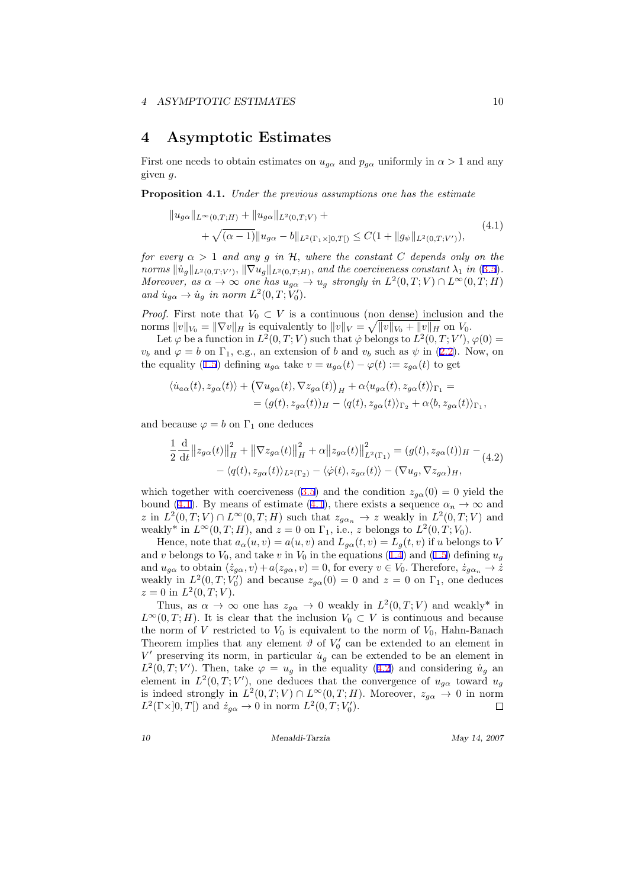#### <span id="page-10-0"></span>**4 Asymptotic Estimates**

First one needs to obtain estimates on  $u_{q\alpha}$  and  $p_{q\alpha}$  uniformly in  $\alpha > 1$  and any given *g.*

**Proposition 4.1.** *Under the previous assumptions one has the estimate*

$$
||u_{g\alpha}||_{L^{\infty}(0,T;H)} + ||u_{g\alpha}||_{L^{2}(0,T;V)} ++ \sqrt{(\alpha - 1)}||u_{g\alpha} - b||_{L^{2}(\Gamma_{1}\times]0,T[)} \leq C(1 + ||g_{\psi}||_{L^{2}(0,T;V')}),
$$
\n(4.1)

*for every*  $\alpha > 1$  *and any g in*  $H$ *, where the constant C depends only on the* norms  $\|\dot{u}_g\|_{L^2(0,T;V')}, \|\nabla u_g\|_{L^2(0,T;H)}$ , and the coerciveness constant  $\lambda_1$  in ([3.5\)](#page-8-0). *Moreover, as*  $\alpha \to \infty$  *one has*  $u_{g\alpha} \to u_g$  *strongly in*  $L^2(0,T;V) \cap L^{\infty}(0,T;H)$  $and \dot{u}_{g\alpha} \rightarrow \dot{u}_{g} \text{ in norm } L^2(0, T; V'_0).$ 

*Proof.* First note that  $V_0 \subset V$  is a continuous (non dense) inclusion and the  $\|v\|_{V_0} = \|\nabla v\|_H$  is equivalently to  $\|v\|_V = \sqrt{\|v\|_{V_0} + \|v\|_H}$  on  $V_0$ .

Let  $\varphi$  be a function in  $L^2(0,T;V)$  such that  $\dot{\varphi}$  belongs to  $L^2(0,T;V')$ ,  $\varphi(0)$  =  $v<sub>b</sub>$ and  $\varphi = b$  on  $\Gamma_1$ , e.g., an extension of *b* and  $v<sub>b</sub>$  such as  $\psi$  in ([2.2\)](#page-4-0). Now, on theequality ([1.5\)](#page-2-0) defining  $u_{q\alpha}$  take  $v = u_{q\alpha}(t) - \varphi(t) := z_{q\alpha}(t)$  to get

$$
\langle \dot{u}_{a\alpha}(t), z_{g\alpha}(t) \rangle + (\nabla u_{g\alpha}(t), \nabla z_{g\alpha}(t))_H + \alpha \langle u_{g\alpha}(t), z_{g\alpha}(t) \rangle_{\Gamma_1} =
$$
  
= 
$$
(g(t), z_{g\alpha}(t))_H - \langle q(t), z_{g\alpha}(t) \rangle_{\Gamma_2} + \alpha \langle b, z_{g\alpha}(t) \rangle_{\Gamma_1},
$$

and because  $\varphi = b$  on  $\Gamma_1$  one deduces

$$
\frac{1}{2} \frac{\mathrm{d}}{\mathrm{d}t} \|z_{g\alpha}(t)\|_{H}^{2} + \|\nabla z_{g\alpha}(t)\|_{H}^{2} + \alpha \|z_{g\alpha}(t)\|_{L^{2}(\Gamma_{1})}^{2} = (g(t), z_{g\alpha}(t))_{H} - (4.2) \n- \langle q(t), z_{g\alpha}(t) \rangle_{L^{2}(\Gamma_{2})} - \langle \dot{\varphi}(t), z_{g\alpha}(t) \rangle - (\nabla u_{g}, \nabla z_{g\alpha})_{H},
$$

whichtogether with coerciveness ([3.5\)](#page-8-0) and the condition  $z_{g\alpha}(0) = 0$  yield the bound (4.1). By means of estimate (4.1), there exists a sequence  $\alpha_n \to \infty$  and  $z$  in  $L^2(0,T;V) \cap L^\infty(0,T;H)$  such that  $z_{g\alpha_n} \to z$  weakly in  $L^2(0,T;V)$  and weakly<sup>\*</sup> in  $L^{\infty}(0,T;H)$ , and  $z = 0$  on  $\Gamma_1$ , i.e., *z* belongs to  $L^2(0,T;V_0)$ .

Hence, note that  $a_{\alpha}(u, v) = a(u, v)$  and  $L_{g\alpha}(t, v) = L_g(t, v)$  if *u* belongs to *V* and*v* belongs to  $V_0$ , and take *v* in  $V_0$  in the equations [\(1.4\)](#page-2-0) and ([1.5\)](#page-2-0) defining  $u_g$ and  $u_{g\alpha}$  to obtain  $\langle \dot{z}_{g\alpha}, v \rangle + a(z_{g\alpha}, v) = 0$ , for every  $v \in V_0$ . Therefore,  $\dot{z}_{g\alpha_n} \to \dot{z}$ weakly in  $L^2(0,T;V_0)$  and because  $z_{g\alpha}(0) = 0$  and  $z = 0$  on  $\Gamma_1$ , one deduces  $z = 0$  in  $L^2(0, T; V)$ .

Thus, as  $\alpha \to \infty$  one has  $z_{g\alpha} \to 0$  weakly in  $L^2(0,T;V)$  and weakly<sup>\*</sup> in  $L^{\infty}(0,T;H)$ . It is clear that the inclusion  $V_0 \subset V$  is continuous and because the norm of  $V$  restricted to  $V_0$  is equivalent to the norm of  $V_0$ , Hahn-Banach Theorem implies that any element  $\vartheta$  of  $V'_0$  can be extended to an element in  $V'$  preserving its norm, in particular  $\dot{u}_g$  can be extended to be an element in  $L^2(0,T;V')$ . Then, take  $\varphi = u_g$  in the equality (4.2) and considering  $\dot{u}_g$  and element in  $L^2(0,T;V')$ , one deduces that the convergence of  $u_{g\alpha}$  toward  $u_g$ is indeed strongly in  $L^2(0,T;V) \cap L^\infty(0,T;H)$ . Moreover,  $z_{g\alpha} \to 0$  in norm  $L^2(\Gamma \times ]0, T[)$  and  $\dot{z}_{g\alpha} \to 0$  in norm  $L^2(0, T; V'_0)$ .  $\Box$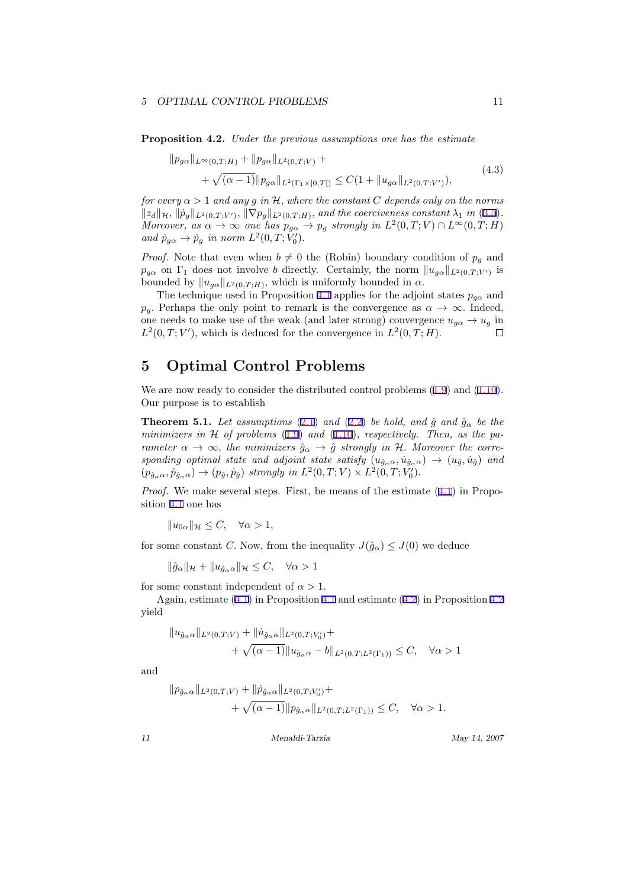#### *5 OPTIMAL CONTROL PROBLEMS* 11

**Proposition 4.2.** *Under the previous assumptions one has the estimate*

$$
||p_{g\alpha}||_{L^{\infty}(0,T;H)} + ||p_{g\alpha}||_{L^{2}(0,T;V)} ++ \sqrt{(\alpha - 1)}||p_{g\alpha}||_{L^{2}(\Gamma_{1} \times ]0,T[)} \leq C(1 + ||u_{g\alpha}||_{L^{2}(0,T;V')}),
$$
\n(4.3)

*for every*  $\alpha > 1$  *and any g in*  $H$ *, where the constant C depends only on the norms*  $||z_d||_{\mathcal{H}}, ||p_g||_{L^2(0,T;V')}, ||\nabla p_g||_{L^2(0,T;H)}$ , and the coerciveness constant  $\lambda_1$  in ([3.5\)](#page-8-0). *Moreover, as*  $\alpha \to \infty$  *one has*  $p_{g\alpha} \to p_g$  *strongly in*  $L^2(0,T;V) \cap L^{\infty}(0,T;H)$  $and \ \dot{p}_{g\alpha} \rightarrow \dot{p}_{g} \ \text{in norm } L^2(0,T; \dot{V}'_0).$ 

*Proof.* Note that even when  $b \neq 0$  the (Robin) boundary condition of  $p_g$  and *p*<sub>*gα*</sub> on  $\Gamma_1$  does not involve *b* directly. Certainly, the norm  $||u_{g\alpha}||_{L^2(0,T;V')}$  is bounded by  $||u_{g\alpha}||_{L^2(0,T;H)}$ , which is uniformly bounded in  $\alpha$ .

The technique used in Proposition [4.1](#page-10-0) applies for the adjoint states  $p_{q\alpha}$  and *p<sub>g</sub>*. Perhaps the only point to remark is the convergence as  $\alpha \to \infty$ . Indeed, one needs to make use of the weak (and later strong) convergence  $u_{q\alpha} \rightarrow u_q$  in  $L^2(0,T;V')$ , which is deduced for the convergence in  $L^2(0,T;H)$ .  $\Box$ 

# **5 Optimal Control Problems**

Weare now ready to consider the distributed control problems  $(1.9)$  $(1.9)$  and  $(1.10)$ . Our purpose is to establish

**Theorem 5.1.** *Let assumptions* [\(2.1](#page-3-0)) *and* ([2.2](#page-4-0)) *be hold, and*  $\hat{g}$  *and*  $\hat{g}^{\alpha}$  *be the minimizers in H of problems* ([1.9](#page-3-0)) *and* ([1.10](#page-3-0))*, respectively. Then, as the parameter*  $\alpha \to \infty$ , the minimizers  $\hat{g}_{\alpha} \to \hat{g}$  strongly in H. Moreover the corre $sponding$  *optimal state and adjoint state satisfy*  $(u_{\hat{g}_{\alpha}\alpha}, \dot{u}_{\hat{g}_{\alpha}\alpha}) \rightarrow (u_{\hat{g}}, \dot{u}_{\hat{g}})$  *and*  $(p_{\hat{g}_{\alpha}\alpha}, \dot{p}_{\hat{g}_{\alpha}\alpha}) \rightarrow (p_{\hat{g}}, \dot{p}_{\hat{g}})$  strongly in  $L^2(0,T;V) \times L^2(0,T;V'_0)$ .

*Proof.*We make several steps. First, be means of the estimate  $(4.1)$  $(4.1)$  $(4.1)$  in Proposition [4.1](#page-10-0) one has

 $||u_{0\alpha}||_{\mathcal{H}}$  ≤ *C*,  $\forall \alpha > 1$ ,

for some constant *C*. Now, from the inequality  $J(\hat{g}_{\alpha}) \leq J(0)$  we deduce

$$
\|\hat{g}_{\alpha}\|_{\mathcal{H}} + \|u_{\hat{g}_{\alpha}\alpha}\|_{\mathcal{H}} \leq C, \quad \forall \alpha > 1
$$

for some constant independent of  $\alpha > 1$ .

Again, estimate([4.1\)](#page-10-0) in Proposition [4.1](#page-10-0) and estimate [\(4.2\)](#page-10-0) in Proposition 4.2 yield

$$
||u_{\hat{g}_{\alpha}\alpha}||_{L^{2}(0,T;V)} + ||\dot{u}_{\hat{g}_{\alpha}\alpha}||_{L^{2}(0,T;V'_{0})} + + \sqrt{(\alpha - 1)}||u_{\hat{g}_{\alpha}\alpha} - b||_{L^{2}(0,T;L^{2}(\Gamma_{1}))} \leq C, \quad \forall \alpha > 1
$$

and

$$
||p_{\hat{g}_{\alpha}\alpha}||_{L^{2}(0,T;V)} + ||\hat{p}_{\hat{g}_{\alpha}\alpha}||_{L^{2}(0,T;V'_{0})} + + \sqrt{(\alpha - 1)}||p_{\hat{g}_{\alpha}\alpha}||_{L^{2}(0,T;L^{2}(\Gamma_{1}))} \leq C, \quad \forall \alpha > 1.
$$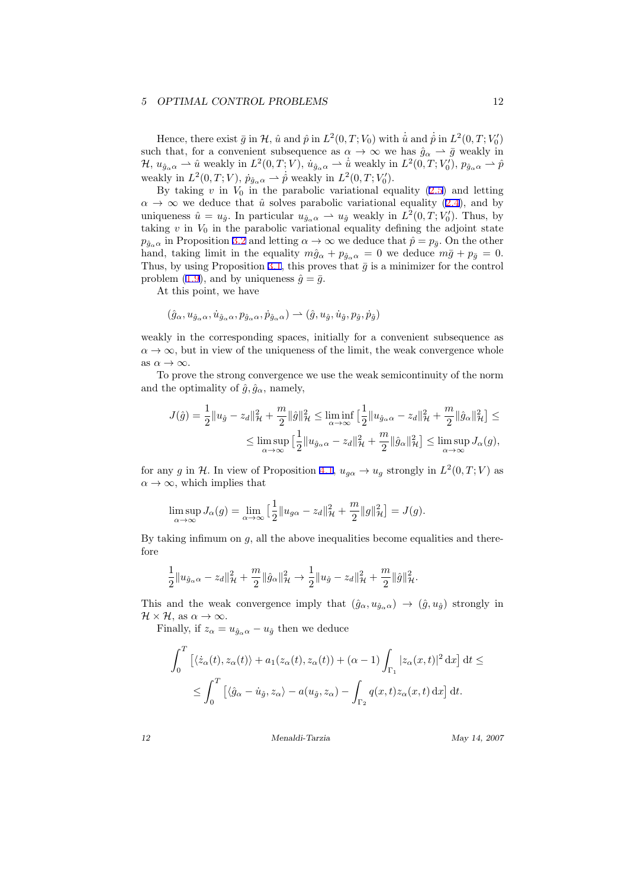#### *5 OPTIMAL CONTROL PROBLEMS* 12

Hence, there exist  $\bar{g}$  in  $\mathcal{H}$ ,  $\hat{u}$  and  $\hat{p}$  in  $L^2(0,T;V_0)$  with  $\hat{u}$  and  $\dot{p}$  in  $L^2(0,T;V_0')$ such that, for a convenient subsequence as  $\alpha \to \infty$  we has  $\hat{g}_{\alpha} \to \bar{g}$  weakly in  $\mathcal{H}, u_{\hat{g}_{\alpha}\alpha} \rightharpoonup \hat{u}$  weakly in  $L^2(0,T;V)$ ,  $u_{\hat{g}_{\alpha}\alpha} \rightharpoonup \hat{u}$  weakly in  $L^2(0,T;V'_0)$ ,  $p_{\hat{g}_{\alpha}\alpha} \rightharpoonup \hat{p}$ weakly in  $L^2(0,T;V)$ ,  $p_{\hat{g}_\alpha\alpha} \to \hat{p}$  weakly in  $L^2(0,T;V'_0)$ .

Bytaking  $v$  in  $V_0$  in the parabolic variational equality  $(2.5)$  $(2.5)$  and letting  $\alpha \to \infty$  $\alpha \to \infty$  $\alpha \to \infty$  we deduce that  $\hat{u}$  solves parabolic variational equality ([2.4](#page-4-0)), and by uniqueness  $\hat{u} = u_{\hat{g}}$ . In particular  $u_{\hat{g}_{\alpha}\alpha} \to u_{\hat{g}}$  weakly in  $L^2(0,T;V'_0)$ . Thus, by taking  $v$  in  $V_0$  in the parabolic variational equality defining the adjoint state  $p_{\hat{g}_{\alpha} \alpha}$  in Proposition [3.2](#page-7-0) and letting  $\alpha \to \infty$  we deduce that  $\hat{p} = p_{\bar{g}}$ . On the other hand, taking limit in the equality  $m\hat{g}_{\alpha} + p_{\hat{g}_{\alpha}\alpha} = 0$  we deduce  $m\bar{g} + p_{\bar{g}} = 0$ . Thus, by using Proposition [3.1,](#page-5-0) this proves that  $\bar{g}$  is a minimizer for the control problem  $(1.9)$ , and by uniqueness  $\hat{g} = \bar{g}$ .

At this point, we have

$$
(\hat{g}_{\alpha}, u_{\hat{g}_{\alpha}\alpha}, \dot{u}_{\hat{g}_{\alpha}\alpha}, p_{\hat{g}_{\alpha}\alpha}, \dot{p}_{\hat{g}_{\alpha}\alpha}) \rightarrow (\hat{g}, u_{\hat{g}}, \dot{u}_{\hat{g}}, p_{\hat{g}}, \dot{p}_{\hat{g}})
$$

weakly in the corresponding spaces, initially for a convenient subsequence as  $\alpha \rightarrow \infty$ , but in view of the uniqueness of the limit, the weak convergence whole as  $\alpha \to \infty$ .

To prove the strong convergence we use the weak semicontinuity of the norm and the optimality of  $\hat{g}, \hat{g}_{\alpha}$ , namely,

$$
J(\hat{g}) = \frac{1}{2} ||u_{\hat{g}} - z_d||_{\mathcal{H}}^2 + \frac{m}{2} ||\hat{g}||_{\mathcal{H}}^2 \le \liminf_{\alpha \to \infty} \left[ \frac{1}{2} ||u_{\hat{g}_{\alpha}\alpha} - z_d||_{\mathcal{H}}^2 + \frac{m}{2} ||\hat{g}_{\alpha}||_{\mathcal{H}}^2 \right] \le
$$
  

$$
\le \limsup_{\alpha \to \infty} \left[ \frac{1}{2} ||u_{\hat{g}_{\alpha}\alpha} - z_d||_{\mathcal{H}}^2 + \frac{m}{2} ||\hat{g}_{\alpha}||_{\mathcal{H}}^2 \right] \le \limsup_{\alpha \to \infty} J_{\alpha}(g),
$$

for any *g* in *H*. In view of Proposition [4.1,](#page-10-0)  $u_{g\alpha} \to u_g$  strongly in  $L^2(0,T;V)$  as  $\alpha \to \infty$ , which implies that

$$
\limsup_{\alpha \to \infty} J_{\alpha}(g) = \lim_{\alpha \to \infty} \left[ \frac{1}{2} ||u_{g\alpha} - z_d||_{{\mathcal H}}^2 + \frac{m}{2} ||g||_{{\mathcal H}}^2 \right] = J(g).
$$

By taking infimum on *g,* all the above inequalities become equalities and therefore

$$
\frac{1}{2}||u_{\hat{g}_{\alpha}\alpha} - z_d||_{\mathcal{H}}^2 + \frac{m}{2}||\hat{g}_{\alpha}||_{\mathcal{H}}^2 \to \frac{1}{2}||u_{\hat{g}} - z_d||_{\mathcal{H}}^2 + \frac{m}{2}||\hat{g}||_{\mathcal{H}}^2.
$$

This and the weak convergence imply that  $(\hat{g}_{\alpha}, u_{\hat{g}_{\alpha},\alpha}) \rightarrow (\hat{g}, u_{\hat{g}})$  strongly in  $\mathcal{H} \times \mathcal{H}$ *,* as  $\alpha \to \infty$ *.* 

Finally, if  $z_{\alpha} = u_{\hat{g}_{\alpha} \alpha} - u_{\hat{g}}$  then we deduce

$$
\int_0^T \left[ \langle \dot{z}_{\alpha}(t), z_{\alpha}(t) \rangle + a_1(z_{\alpha}(t), z_{\alpha}(t)) + (\alpha - 1) \int_{\Gamma_1} |z_{\alpha}(x, t)|^2 \, \mathrm{d}x \right] \, \mathrm{d}t \le
$$
  

$$
\le \int_0^T \left[ \langle \hat{g}_{\alpha} - \dot{u}_{\hat{g}}, z_{\alpha} \rangle - a(u_{\hat{g}}, z_{\alpha}) - \int_{\Gamma_2} q(x, t) z_{\alpha}(x, t) \, \mathrm{d}x \right] \, \mathrm{d}t.
$$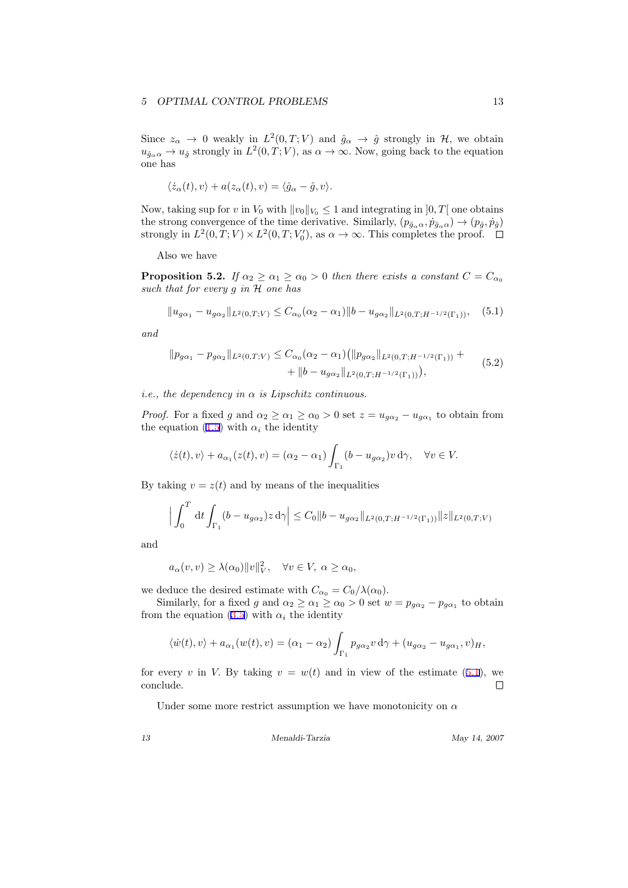Since  $z_{\alpha} \to 0$  weakly in  $L^2(0,T;V)$  and  $\hat{g}_{\alpha} \to \hat{g}$  strongly in  $H$ *,* we obtain  $u_{\hat{g}_{\alpha} \alpha} \to u_{\hat{g}}$  strongly in  $L^2(0,T;V)$ , as  $\alpha \to \infty$ . Now, going back to the equation one has

$$
\langle \dot{z}_{\alpha}(t), v \rangle + a(z_{\alpha}(t), v) = \langle \hat{g}_{\alpha} - \hat{g}, v \rangle.
$$

Now, taking sup for *v* in  $V_0$  with  $||v_0||_{V_0} \leq 1$  and integrating in  $]0, T[$  one obtains the strong convergence of the time derivative. Similarly,  $(p_{\hat{g}_{\alpha}\alpha}, p_{\hat{g}_{\alpha}\alpha}) \rightarrow (p_{\hat{g}}, p_{\hat{g}})$ strongly in  $L^2(0,T;V) \times L^2(0,T;V'_0)$ , as  $\alpha \to \infty$ . This completes the proof.

Also we have

**Proposition 5.2.** *If*  $\alpha_2 \geq \alpha_1 \geq \alpha_0 > 0$  *then there exists a constant*  $C = C_{\alpha_0}$ *such that for every g in H one has*

$$
||u_{g\alpha_1} - u_{g\alpha_2}||_{L^2(0,T;V)} \leq C_{\alpha_0}(\alpha_2 - \alpha_1)||b - u_{g\alpha_2}||_{L^2(0,T;H^{-1/2}(\Gamma_1))}, \quad (5.1)
$$

*and*

$$
||p_{g\alpha_1} - p_{g\alpha_2}||_{L^2(0,T;V)} \leq C_{\alpha_0}(\alpha_2 - \alpha_1) (||p_{g\alpha_2}||_{L^2(0,T;H^{-1/2}(\Gamma_1))} + ||b - u_{g\alpha_2}||_{L^2(0,T;H^{-1/2}(\Gamma_1)))},
$$
\n(5.2)

*i.e., the dependency in α is Lipschitz continuous.*

*Proof.* For a fixed *g* and  $\alpha_2 \ge \alpha_1 \ge \alpha_0 > 0$  set  $z = u_{g\alpha_2} - u_{g\alpha_1}$  to obtain from the equation  $(1.5)$  with  $\alpha_i$  the identity

$$
\langle \dot{z}(t), v \rangle + a_{\alpha_1}(z(t), v) = (\alpha_2 - \alpha_1) \int_{\Gamma_1} (b - u_{g\alpha_2}) v \, d\gamma, \quad \forall v \in V.
$$

By taking  $v = z(t)$  and by means of the inequalities

$$
\Big| \int_0^T dt \int_{\Gamma_1} (b - u_{g\alpha_2}) z \, d\gamma \Big| \le C_0 \|b - u_{g\alpha_2}\|_{L^2(0,T;H^{-1/2}(\Gamma_1))} \|z\|_{L^2(0,T;V)}
$$

and

$$
a_{\alpha}(v, v) \geq \lambda(\alpha_0) ||v||_V^2, \quad \forall v \in V, \ \alpha \geq \alpha_0,
$$

we deduce the desired estimate with  $C_{\alpha_0} = C_0/\lambda(\alpha_0)$ .

Similarly, for a fixed *g* and  $\alpha_2 \ge \alpha_1 \ge \alpha_0 > 0$  set  $w = p_{g\alpha_2} - p_{g\alpha_1}$  to obtain fromthe equation  $(3.5)$  $(3.5)$  with  $\alpha_i$  the identity

$$
\langle \dot{w}(t), v \rangle + a_{\alpha_1}(w(t), v) = (\alpha_1 - \alpha_2) \int_{\Gamma_1} p_{g\alpha_2} v \, d\gamma + (u_{g\alpha_2} - u_{g\alpha_1}, v)_H,
$$

for every *v* in *V*. By taking  $v = w(t)$  and in view of the estimate (5.1), we conclude.  $\Box$ 

Under some more restrict assumption we have monotonicity on *α*

*13 Menaldi-Tarzia May 14, 2007*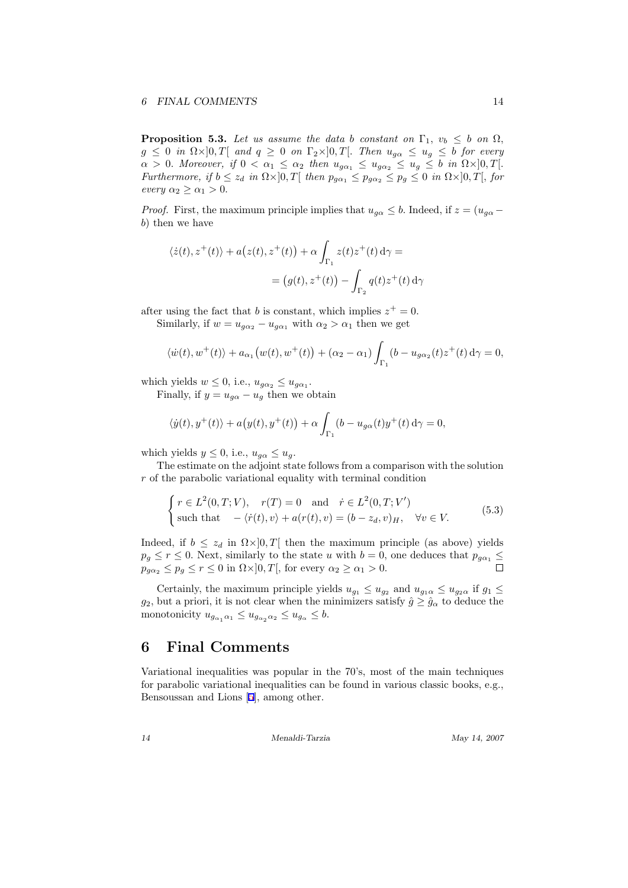**Proposition 5.3.** *Let us assume the data b constant on*  $\Gamma_1$ ,  $v_b \leq b$  *on*  $\Omega$ *,*  $g \leq 0$  *in*  $\Omega \times ]0, T[$  *and*  $q \geq 0$  *on*  $\Gamma_2 \times ]0, T[$ *. Then*  $u_{g\alpha} \leq u_g \leq b$  *for every*  $\alpha > 0$ *. Moreover, if*  $0 < \alpha_1 \leq \alpha_2$  *then*  $u_{g\alpha_1} \leq u_{g\alpha_2} \leq u_g \leq b$  *in*  $\Omega \times ]0, T[$ *.* Furthermore, if  $b \le z_d$  in  $\Omega \times ]0,T[$  then  $p_{g\alpha_1} \le p_{g\alpha_2} \le p_g \le 0$  in  $\Omega \times ]0,T[$ , for *every*  $\alpha_2 \geq \alpha_1 > 0$ *.* 

*Proof.* First, the maximum principle implies that  $u_{g\alpha} \leq b$ . Indeed, if  $z = (u_{g\alpha} - b)$ *b*) then we have

$$
\langle \dot{z}(t), z^+(t) \rangle + a(z(t), z^+(t)) + \alpha \int_{\Gamma_1} z(t) z^+(t) d\gamma =
$$
  
=  $(g(t), z^+(t)) - \int_{\Gamma_2} q(t) z^+(t) d\gamma$ 

after using the fact that *b* is constant, which implies  $z^+ = 0$ .

Similarly, if  $w = u_{g\alpha_2} - u_{g\alpha_1}$  with  $\alpha_2 > \alpha_1$  then we get

$$
\langle \dot{w}(t), w^+(t) \rangle + a_{\alpha_1} \big( w(t), w^+(t) \big) + (\alpha_2 - \alpha_1) \int_{\Gamma_1} (b - u_{g\alpha_2}(t) z^+(t) d\gamma = 0,
$$

which yields  $w \leq 0$ , i.e.,  $u_{g\alpha_2} \leq u_{g\alpha_1}$ .

Finally, if  $y = u_{q\alpha} - u_q$  then we obtain

$$
\langle \dot{y}(t), y^{+}(t) \rangle + a(y(t), y^{+}(t)) + \alpha \int_{\Gamma_1} (b - u_{g\alpha}(t)y^{+}(t) d\gamma = 0,
$$

which yields  $y \leq 0$ , i.e.,  $u_{g\alpha} \leq u_g$ .

The estimate on the adjoint state follows from a comparison with the solution *r* of the parabolic variational equality with terminal condition

$$
\begin{cases}\nr \in L^2(0, T; V), & r(T) = 0 \quad \text{and} \quad \dot{r} \in L^2(0, T; V') \\
\text{such that} \quad -\langle \dot{r}(t), v \rangle + a(r(t), v) = (b - z_d, v)_H, & \forall v \in V.\n\end{cases} \tag{5.3}
$$

Indeed, if  $b \leq z_d$  in  $\Omega \times ]0, T[$  then the maximum principle (as above) yields  $p_g \le r \le 0$ . Next, similarly to the state *u* with  $b = 0$ , one deduces that  $p_{g\alpha_1} \le$  $p_{g\alpha_2} \leq p_g \leq r \leq 0$  in  $\Omega \times ]0, T[$ , for every  $\alpha_2 \geq \alpha_1 > 0$ .

Certainly, the maximum principle yields  $u_{g_1} \leq u_{g_2}$  and  $u_{g_1\alpha} \leq u_{g_2\alpha}$  if  $g_1 \leq$ *g*<sub>2</sub>, but a priori, it is not clear when the minimizers satisfy  $\hat{g} \geq \hat{g}_{\alpha}$  to deduce the monotonicity  $u_{g_{\alpha_1} \alpha_1} \leq u_{g_{\alpha_2} \alpha_2} \leq u_{g_{\alpha}} \leq b$ .

# **6 Final Comments**

Variational inequalities was popular in the 70's, most of the main techniques for parabolic variational inequalities can be found in various classic books, e.g., Bensoussan and Lions[[5\]](#page-15-0), among other.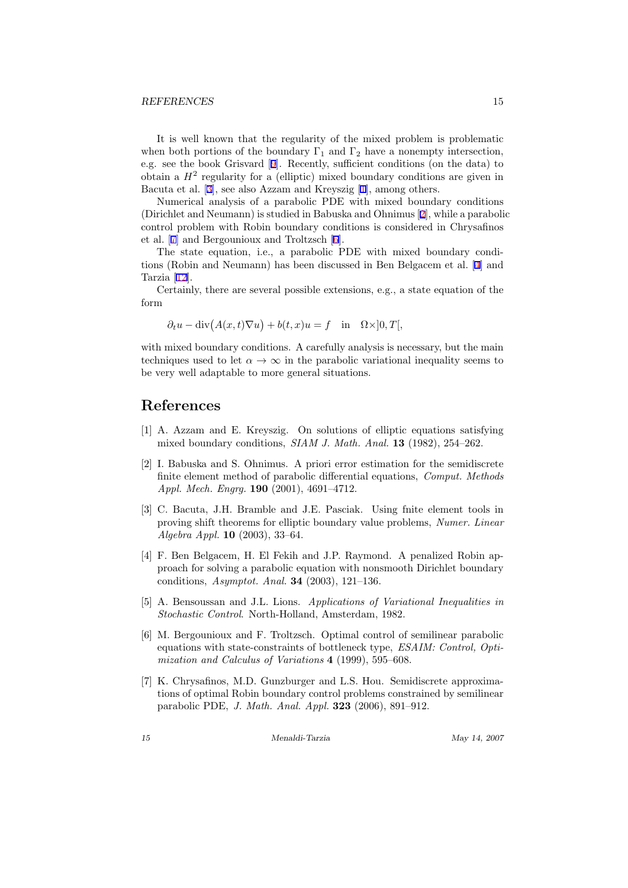#### <span id="page-15-0"></span>*REFERENCES* 15

It is well known that the regularity of the mixed problem is problematic when both portions of the boundary  $\Gamma_1$  and  $\Gamma_2$  have a nonempty intersection, e.g. see the book Grisvard[[9\]](#page-16-0). Recently, sufficient conditions (on the data) to obtain a  $H<sup>2</sup>$  regularity for a (elliptic) mixed boundary conditions are given in Bacuta et al. [3], see also Azzam and Kreyszig [1], among others.

Numerical analysis of a parabolic PDE with mixed boundary conditions (Dirichlet and Neumann) is studied in Babuska and Ohnimus [2], while a parabolic control problem with Robin boundary conditions is considered in Chrysafinos et al. [7] and Bergounioux and Troltzsch [6].

The state equation, i.e., a parabolic PDE with mixed boundary conditions (Robin and Neumann) has been discussed in Ben Belgacem et al. [4] and Tarzia [\[12](#page-16-0)].

Certainly, there are several possible extensions, e.g., a state equation of the form

$$
\partial_t u - \text{div}(A(x,t)\nabla u) + b(t,x)u = f \text{ in } \Omega \times ]0,T[,
$$

with mixed boundary conditions. A carefully analysis is necessary, but the main techniques used to let  $\alpha \to \infty$  in the parabolic variational inequality seems to be very well adaptable to more general situations.

# **References**

- [1] A. Azzam and E. Kreyszig. On solutions of elliptic equations satisfying mixed boundary conditions, *SIAM J. Math. Anal.* **13** (1982), 254–262.
- [2] I. Babuska and S. Ohnimus. A priori error estimation for the semidiscrete finite element method of parabolic differential equations, *Comput. Methods Appl. Mech. Engrg.* **190** (2001), 4691–4712.
- [3] C. Bacuta, J.H. Bramble and J.E. Pasciak. Using fnite element tools in proving shift theorems for elliptic boundary value problems, *Numer. Linear Algebra Appl.* **10** (2003), 33–64.
- [4] F. Ben Belgacem, H. El Fekih and J.P. Raymond. A penalized Robin approach for solving a parabolic equation with nonsmooth Dirichlet boundary conditions, *Asymptot. Anal.* **34** (2003), 121–136.
- [5] A. Bensoussan and J.L. Lions. *Applications of Variational Inequalities in Stochastic Control*. North-Holland, Amsterdam, 1982.
- [6] M. Bergounioux and F. Troltzsch. Optimal control of semilinear parabolic equations with state-constraints of bottleneck type, *ESAIM: Control, Optimization and Calculus of Variations* **4** (1999), 595–608.
- [7] K. Chrysafinos, M.D. Gunzburger and L.S. Hou. Semidiscrete approximations of optimal Robin boundary control problems constrained by semilinear parabolic PDE, *J. Math. Anal. Appl.* **323** (2006), 891–912.